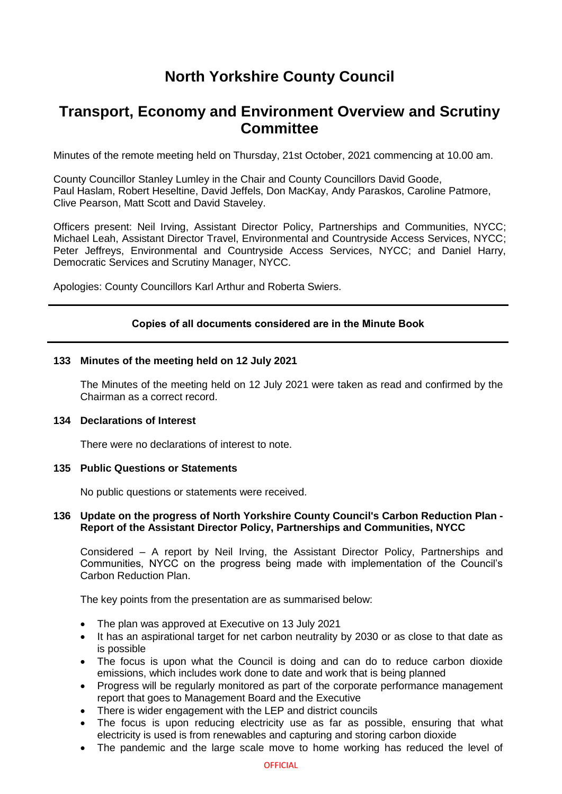# **North Yorkshire County Council**

# **Transport, Economy and Environment Overview and Scrutiny Committee**

Minutes of the remote meeting held on Thursday, 21st October, 2021 commencing at 10.00 am.

County Councillor Stanley Lumley in the Chair and County Councillors David Goode, Paul Haslam, Robert Heseltine, David Jeffels, Don MacKay, Andy Paraskos, Caroline Patmore, Clive Pearson, Matt Scott and David Staveley.

Officers present: Neil Irving, Assistant Director Policy, Partnerships and Communities, NYCC; Michael Leah, Assistant Director Travel, Environmental and Countryside Access Services, NYCC; Peter Jeffreys, Environmental and Countryside Access Services, NYCC; and Daniel Harry, Democratic Services and Scrutiny Manager, NYCC.

Apologies: County Councillors Karl Arthur and Roberta Swiers.

# **Copies of all documents considered are in the Minute Book**

## **133 Minutes of the meeting held on 12 July 2021**

The Minutes of the meeting held on 12 July 2021 were taken as read and confirmed by the Chairman as a correct record.

## **134 Declarations of Interest**

There were no declarations of interest to note.

## **135 Public Questions or Statements**

No public questions or statements were received.

# **136 Update on the progress of North Yorkshire County Council's Carbon Reduction Plan - Report of the Assistant Director Policy, Partnerships and Communities, NYCC**

Considered – A report by Neil Irving, the Assistant Director Policy, Partnerships and Communities, NYCC on the progress being made with implementation of the Council's Carbon Reduction Plan.

The key points from the presentation are as summarised below:

- The plan was approved at Executive on 13 July 2021
- It has an aspirational target for net carbon neutrality by 2030 or as close to that date as is possible
- The focus is upon what the Council is doing and can do to reduce carbon dioxide emissions, which includes work done to date and work that is being planned
- Progress will be regularly monitored as part of the corporate performance management report that goes to Management Board and the Executive
- There is wider engagement with the LEP and district councils
- The focus is upon reducing electricity use as far as possible, ensuring that what electricity is used is from renewables and capturing and storing carbon dioxide
- The pandemic and the large scale move to home working has reduced the level of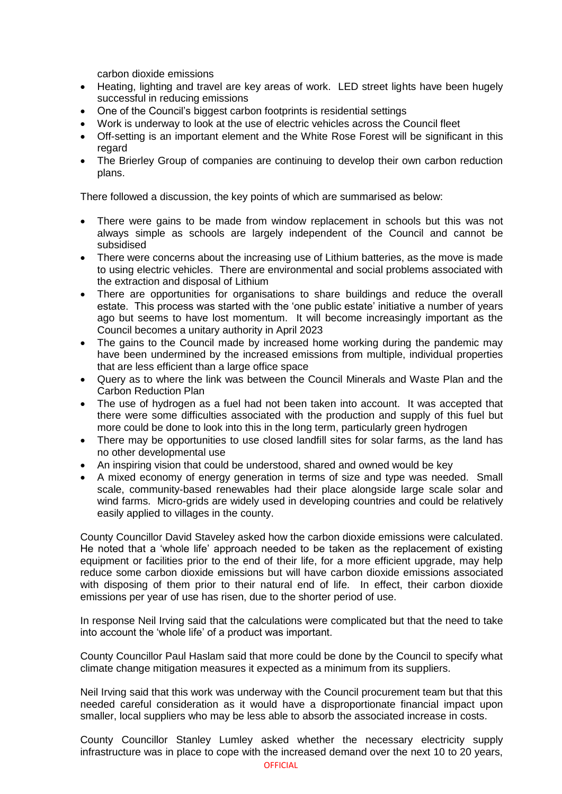carbon dioxide emissions

- Heating, lighting and travel are key areas of work. LED street lights have been hugely successful in reducing emissions
- One of the Council's biggest carbon footprints is residential settings
- Work is underway to look at the use of electric vehicles across the Council fleet
- Off-setting is an important element and the White Rose Forest will be significant in this regard
- The Brierley Group of companies are continuing to develop their own carbon reduction plans.

There followed a discussion, the key points of which are summarised as below:

- There were gains to be made from window replacement in schools but this was not always simple as schools are largely independent of the Council and cannot be subsidised
- There were concerns about the increasing use of Lithium batteries, as the move is made to using electric vehicles. There are environmental and social problems associated with the extraction and disposal of Lithium
- There are opportunities for organisations to share buildings and reduce the overall estate. This process was started with the 'one public estate' initiative a number of years ago but seems to have lost momentum. It will become increasingly important as the Council becomes a unitary authority in April 2023
- The gains to the Council made by increased home working during the pandemic may have been undermined by the increased emissions from multiple, individual properties that are less efficient than a large office space
- Query as to where the link was between the Council Minerals and Waste Plan and the Carbon Reduction Plan
- The use of hydrogen as a fuel had not been taken into account. It was accepted that there were some difficulties associated with the production and supply of this fuel but more could be done to look into this in the long term, particularly green hydrogen
- There may be opportunities to use closed landfill sites for solar farms, as the land has no other developmental use
- An inspiring vision that could be understood, shared and owned would be key
- A mixed economy of energy generation in terms of size and type was needed. Small scale, community-based renewables had their place alongside large scale solar and wind farms. Micro-grids are widely used in developing countries and could be relatively easily applied to villages in the county.

County Councillor David Staveley asked how the carbon dioxide emissions were calculated. He noted that a 'whole life' approach needed to be taken as the replacement of existing equipment or facilities prior to the end of their life, for a more efficient upgrade, may help reduce some carbon dioxide emissions but will have carbon dioxide emissions associated with disposing of them prior to their natural end of life. In effect, their carbon dioxide emissions per year of use has risen, due to the shorter period of use.

In response Neil Irving said that the calculations were complicated but that the need to take into account the 'whole life' of a product was important.

County Councillor Paul Haslam said that more could be done by the Council to specify what climate change mitigation measures it expected as a minimum from its suppliers.

Neil Irving said that this work was underway with the Council procurement team but that this needed careful consideration as it would have a disproportionate financial impact upon smaller, local suppliers who may be less able to absorb the associated increase in costs.

County Councillor Stanley Lumley asked whether the necessary electricity supply infrastructure was in place to cope with the increased demand over the next 10 to 20 years,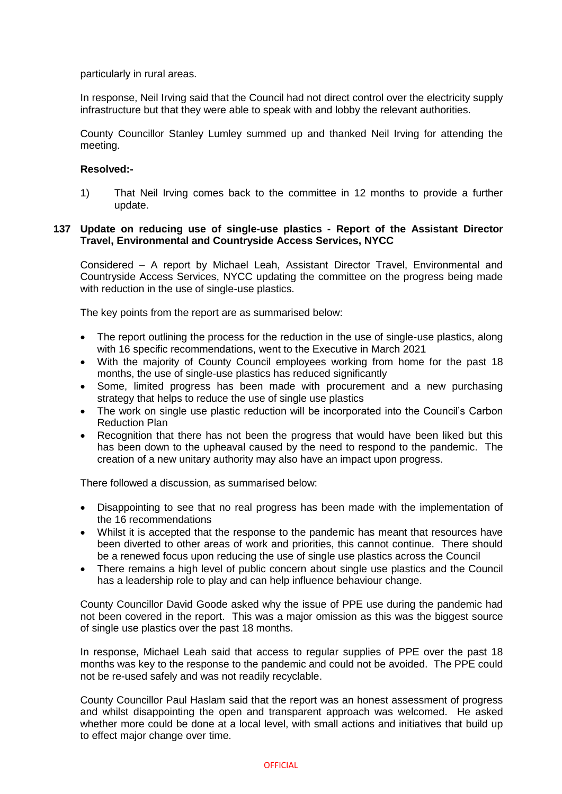particularly in rural areas.

In response, Neil Irving said that the Council had not direct control over the electricity supply infrastructure but that they were able to speak with and lobby the relevant authorities.

County Councillor Stanley Lumley summed up and thanked Neil Irving for attending the meeting.

# **Resolved:-**

1) That Neil Irving comes back to the committee in 12 months to provide a further update.

# **137 Update on reducing use of single-use plastics - Report of the Assistant Director Travel, Environmental and Countryside Access Services, NYCC**

Considered – A report by Michael Leah, Assistant Director Travel, Environmental and Countryside Access Services, NYCC updating the committee on the progress being made with reduction in the use of single-use plastics.

The key points from the report are as summarised below:

- The report outlining the process for the reduction in the use of single-use plastics, along with 16 specific recommendations, went to the Executive in March 2021
- With the majority of County Council employees working from home for the past 18 months, the use of single-use plastics has reduced significantly
- Some, limited progress has been made with procurement and a new purchasing strategy that helps to reduce the use of single use plastics
- The work on single use plastic reduction will be incorporated into the Council's Carbon Reduction Plan
- Recognition that there has not been the progress that would have been liked but this has been down to the upheaval caused by the need to respond to the pandemic. The creation of a new unitary authority may also have an impact upon progress.

There followed a discussion, as summarised below:

- Disappointing to see that no real progress has been made with the implementation of the 16 recommendations
- Whilst it is accepted that the response to the pandemic has meant that resources have been diverted to other areas of work and priorities, this cannot continue. There should be a renewed focus upon reducing the use of single use plastics across the Council
- There remains a high level of public concern about single use plastics and the Council has a leadership role to play and can help influence behaviour change.

County Councillor David Goode asked why the issue of PPE use during the pandemic had not been covered in the report. This was a major omission as this was the biggest source of single use plastics over the past 18 months.

In response, Michael Leah said that access to regular supplies of PPE over the past 18 months was key to the response to the pandemic and could not be avoided. The PPE could not be re-used safely and was not readily recyclable.

County Councillor Paul Haslam said that the report was an honest assessment of progress and whilst disappointing the open and transparent approach was welcomed. He asked whether more could be done at a local level, with small actions and initiatives that build up to effect major change over time.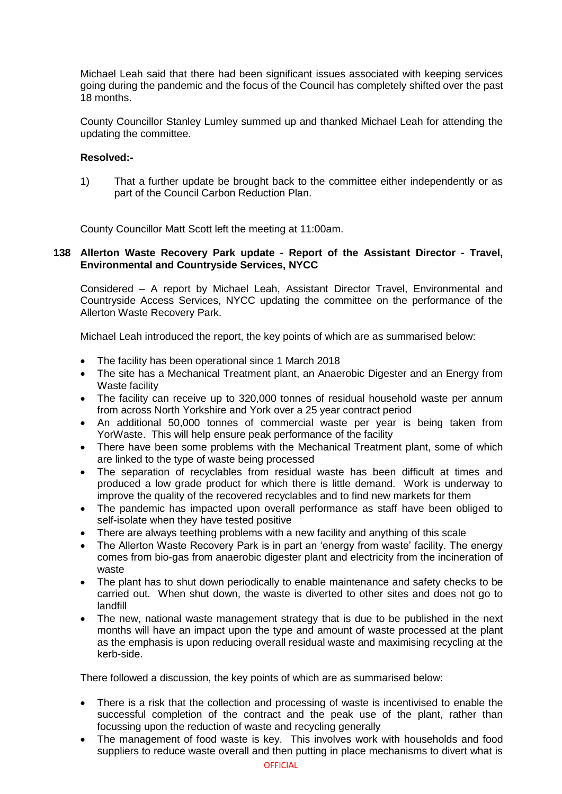Michael Leah said that there had been significant issues associated with keeping services going during the pandemic and the focus of the Council has completely shifted over the past 18 months.

County Councillor Stanley Lumley summed up and thanked Michael Leah for attending the updating the committee.

# **Resolved:-**

1) That a further update be brought back to the committee either independently or as part of the Council Carbon Reduction Plan.

County Councillor Matt Scott left the meeting at 11:00am.

# **138 Allerton Waste Recovery Park update - Report of the Assistant Director - Travel, Environmental and Countryside Services, NYCC**

Considered – A report by Michael Leah, Assistant Director Travel, Environmental and Countryside Access Services, NYCC updating the committee on the performance of the Allerton Waste Recovery Park.

Michael Leah introduced the report, the key points of which are as summarised below:

- The facility has been operational since 1 March 2018
- The site has a Mechanical Treatment plant, an Anaerobic Digester and an Energy from Waste facility
- The facility can receive up to 320,000 tonnes of residual household waste per annum from across North Yorkshire and York over a 25 year contract period
- An additional 50,000 tonnes of commercial waste per year is being taken from YorWaste. This will help ensure peak performance of the facility
- There have been some problems with the Mechanical Treatment plant, some of which are linked to the type of waste being processed
- The separation of recyclables from residual waste has been difficult at times and produced a low grade product for which there is little demand. Work is underway to improve the quality of the recovered recyclables and to find new markets for them
- The pandemic has impacted upon overall performance as staff have been obliged to self-isolate when they have tested positive
- There are always teething problems with a new facility and anything of this scale
- The Allerton Waste Recovery Park is in part an 'energy from waste' facility. The energy comes from bio-gas from anaerobic digester plant and electricity from the incineration of waste
- The plant has to shut down periodically to enable maintenance and safety checks to be carried out. When shut down, the waste is diverted to other sites and does not go to landfill
- The new, national waste management strategy that is due to be published in the next months will have an impact upon the type and amount of waste processed at the plant as the emphasis is upon reducing overall residual waste and maximising recycling at the kerb-side.

There followed a discussion, the key points of which are as summarised below:

- There is a risk that the collection and processing of waste is incentivised to enable the successful completion of the contract and the peak use of the plant, rather than focussing upon the reduction of waste and recycling generally
- The management of food waste is key. This involves work with households and food suppliers to reduce waste overall and then putting in place mechanisms to divert what is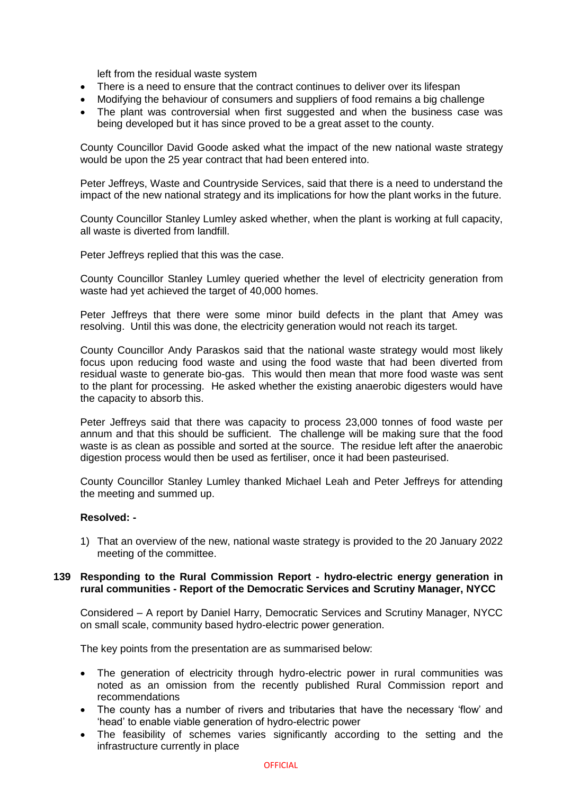left from the residual waste system

- There is a need to ensure that the contract continues to deliver over its lifespan
- Modifying the behaviour of consumers and suppliers of food remains a big challenge
- The plant was controversial when first suggested and when the business case was being developed but it has since proved to be a great asset to the county.

County Councillor David Goode asked what the impact of the new national waste strategy would be upon the 25 year contract that had been entered into.

Peter Jeffreys, Waste and Countryside Services, said that there is a need to understand the impact of the new national strategy and its implications for how the plant works in the future.

County Councillor Stanley Lumley asked whether, when the plant is working at full capacity, all waste is diverted from landfill.

Peter Jeffreys replied that this was the case.

County Councillor Stanley Lumley queried whether the level of electricity generation from waste had yet achieved the target of 40,000 homes.

Peter Jeffreys that there were some minor build defects in the plant that Amey was resolving. Until this was done, the electricity generation would not reach its target.

County Councillor Andy Paraskos said that the national waste strategy would most likely focus upon reducing food waste and using the food waste that had been diverted from residual waste to generate bio-gas. This would then mean that more food waste was sent to the plant for processing. He asked whether the existing anaerobic digesters would have the capacity to absorb this.

Peter Jeffreys said that there was capacity to process 23,000 tonnes of food waste per annum and that this should be sufficient. The challenge will be making sure that the food waste is as clean as possible and sorted at the source. The residue left after the anaerobic digestion process would then be used as fertiliser, once it had been pasteurised.

County Councillor Stanley Lumley thanked Michael Leah and Peter Jeffreys for attending the meeting and summed up.

## **Resolved: -**

1) That an overview of the new, national waste strategy is provided to the 20 January 2022 meeting of the committee.

## **139 Responding to the Rural Commission Report - hydro-electric energy generation in rural communities - Report of the Democratic Services and Scrutiny Manager, NYCC**

Considered – A report by Daniel Harry, Democratic Services and Scrutiny Manager, NYCC on small scale, community based hydro-electric power generation.

The key points from the presentation are as summarised below:

- The generation of electricity through hydro-electric power in rural communities was noted as an omission from the recently published Rural Commission report and recommendations
- The county has a number of rivers and tributaries that have the necessary 'flow' and 'head' to enable viable generation of hydro-electric power
- The feasibility of schemes varies significantly according to the setting and the infrastructure currently in place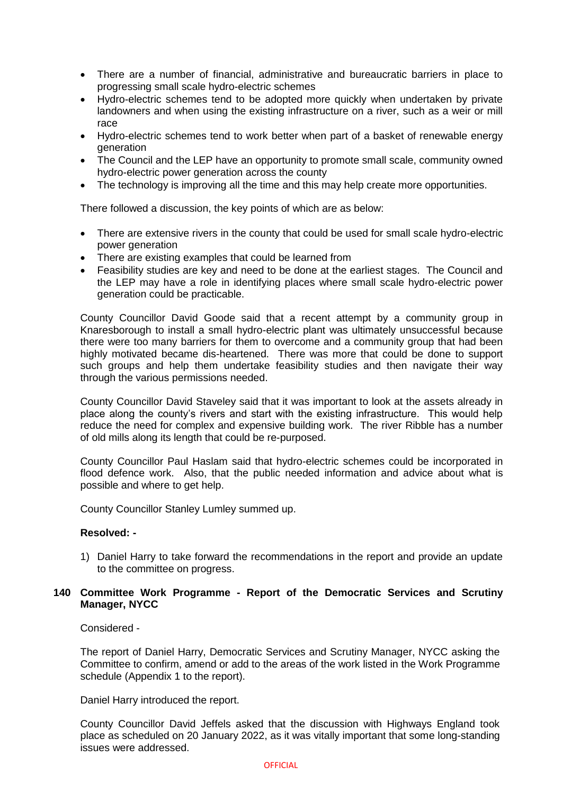- There are a number of financial, administrative and bureaucratic barriers in place to progressing small scale hydro-electric schemes
- Hydro-electric schemes tend to be adopted more quickly when undertaken by private landowners and when using the existing infrastructure on a river, such as a weir or mill race
- Hydro-electric schemes tend to work better when part of a basket of renewable energy generation
- The Council and the LEP have an opportunity to promote small scale, community owned hydro-electric power generation across the county
- The technology is improving all the time and this may help create more opportunities.

There followed a discussion, the key points of which are as below:

- There are extensive rivers in the county that could be used for small scale hydro-electric power generation
- There are existing examples that could be learned from
- Feasibility studies are key and need to be done at the earliest stages. The Council and the LEP may have a role in identifying places where small scale hydro-electric power generation could be practicable.

County Councillor David Goode said that a recent attempt by a community group in Knaresborough to install a small hydro-electric plant was ultimately unsuccessful because there were too many barriers for them to overcome and a community group that had been highly motivated became dis-heartened. There was more that could be done to support such groups and help them undertake feasibility studies and then navigate their way through the various permissions needed.

County Councillor David Staveley said that it was important to look at the assets already in place along the county's rivers and start with the existing infrastructure. This would help reduce the need for complex and expensive building work. The river Ribble has a number of old mills along its length that could be re-purposed.

County Councillor Paul Haslam said that hydro-electric schemes could be incorporated in flood defence work. Also, that the public needed information and advice about what is possible and where to get help.

County Councillor Stanley Lumley summed up.

# **Resolved: -**

1) Daniel Harry to take forward the recommendations in the report and provide an update to the committee on progress.

## **140 Committee Work Programme - Report of the Democratic Services and Scrutiny Manager, NYCC**

#### Considered -

The report of Daniel Harry, Democratic Services and Scrutiny Manager, NYCC asking the Committee to confirm, amend or add to the areas of the work listed in the Work Programme schedule (Appendix 1 to the report).

Daniel Harry introduced the report.

County Councillor David Jeffels asked that the discussion with Highways England took place as scheduled on 20 January 2022, as it was vitally important that some long-standing issues were addressed.